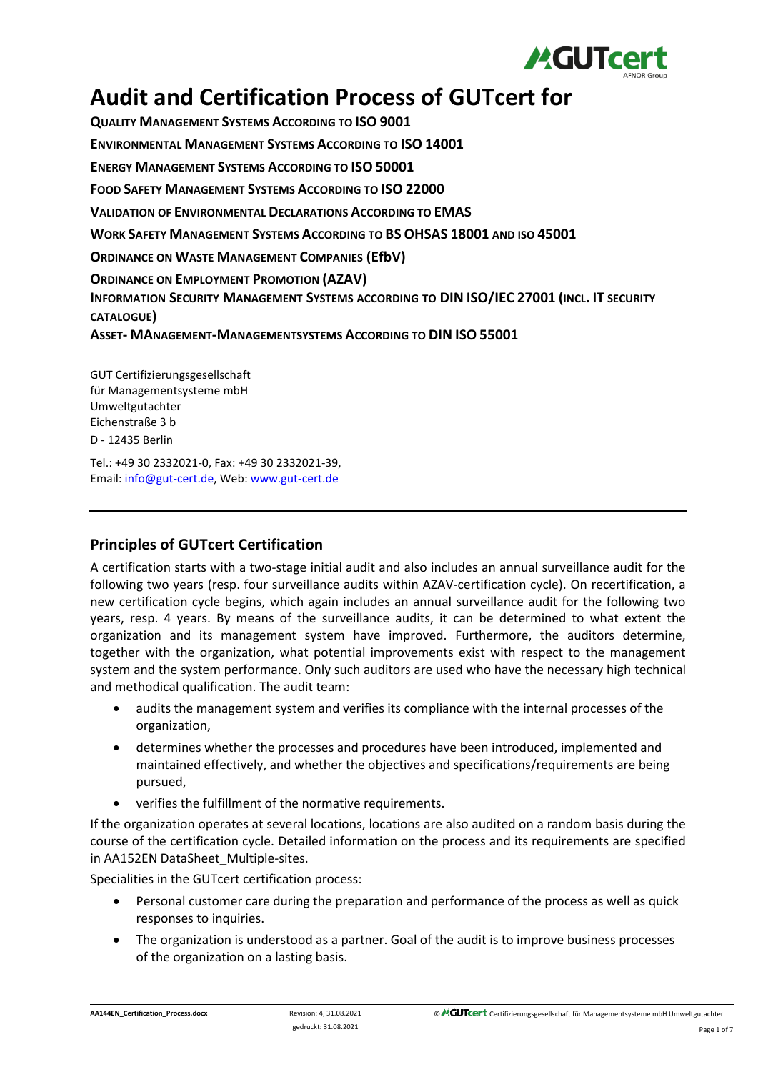

# **Audit and Certification Process of GUTcert for**

**QUALITY MANAGEMENT SYSTEMS ACCORDING TO ISO 9001 ENVIRONMENTAL MANAGEMENT SYSTEMS ACCORDING TO ISO 14001 ENERGY MANAGEMENT SYSTEMS ACCORDING TO ISO 50001 FOOD SAFETY MANAGEMENT SYSTEMS ACCORDING TO ISO 22000 VALIDATION OF ENVIRONMENTAL DECLARATIONS ACCORDING TO EMAS WORK SAFETY MANAGEMENT SYSTEMS ACCORDING TO BS OHSAS 18001 AND ISO 45001 ORDINANCE ON WASTE MANAGEMENT COMPANIES (EfbV) ORDINANCE ON EMPLOYMENT PROMOTION (AZAV) INFORMATION SECURITY MANAGEMENT SYSTEMS ACCORDING TO DIN ISO/IEC 27001 (INCL. IT SECURITY CATALOGUE) ASSET- MANAGEMENT-MANAGEMENTSYSTEMS ACCORDING TO DIN ISO 55001**

GUT Certifizierungsgesellschaft für Managementsysteme mbH Umweltgutachter Eichenstraße 3 b D - 12435 Berlin

Tel.: +49 30 2332021-0, Fax: +49 30 2332021-39, Email: [info@gut-cert.de,](mailto:info@gut-cert.de) Web: www.gut-cert.de

# **Principles of GUTcert Certification**

A certification starts with a two-stage initial audit and also includes an annual surveillance audit for the following two years (resp. four surveillance audits within AZAV-certification cycle). On recertification, a new certification cycle begins, which again includes an annual surveillance audit for the following two years, resp. 4 years. By means of the surveillance audits, it can be determined to what extent the organization and its management system have improved. Furthermore, the auditors determine, together with the organization, what potential improvements exist with respect to the management system and the system performance. Only such auditors are used who have the necessary high technical and methodical qualification. The audit team:

- audits the management system and verifies its compliance with the internal processes of the organization,
- determines whether the processes and procedures have been introduced, implemented and maintained effectively, and whether the objectives and specifications/requirements are being pursued,
- verifies the fulfillment of the normative requirements.

If the organization operates at several locations, locations are also audited on a random basis during the course of the certification cycle. Detailed information on the process and its requirements are specified in AA152EN DataSheet Multiple-sites.

Specialities in the GUTcert certification process:

- Personal customer care during the preparation and performance of the process as well as quick responses to inquiries.
- The organization is understood as a partner. Goal of the audit is to improve business processes of the organization on a lasting basis.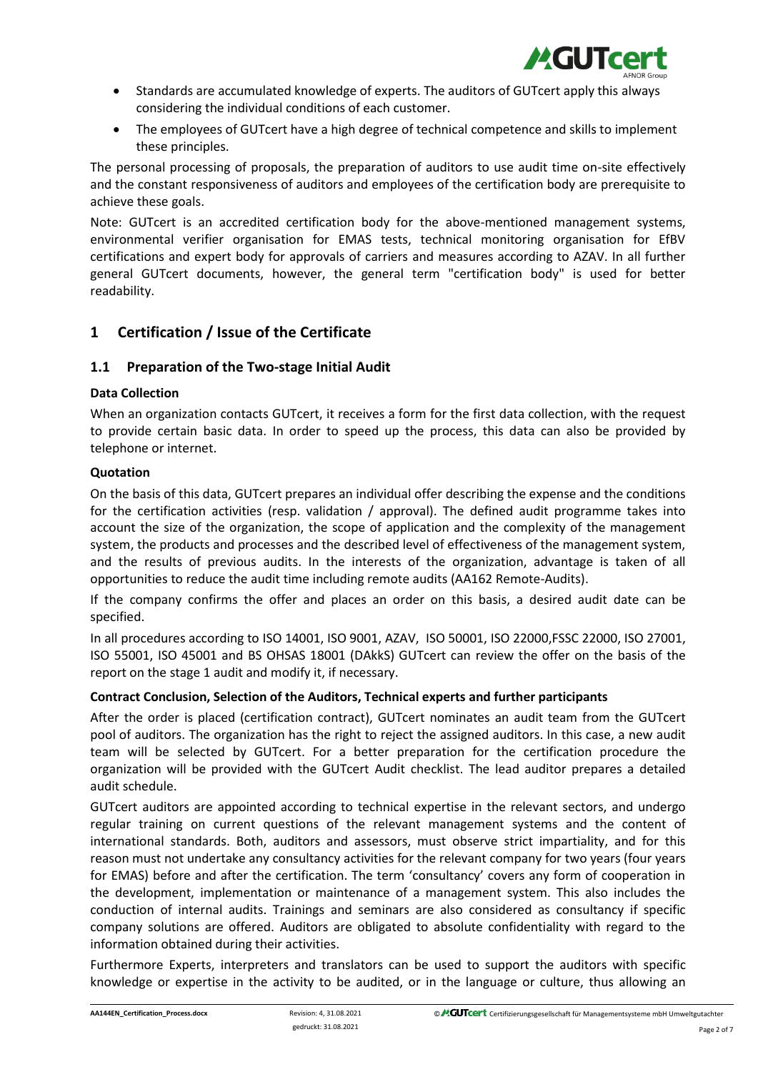

- Standards are accumulated knowledge of experts. The auditors of GUTcert apply this always considering the individual conditions of each customer.
- The employees of GUTcert have a high degree of technical competence and skills to implement these principles.

The personal processing of proposals, the preparation of auditors to use audit time on-site effectively and the constant responsiveness of auditors and employees of the certification body are prerequisite to achieve these goals.

Note: GUTcert is an accredited certification body for the above-mentioned management systems, environmental verifier organisation for EMAS tests, technical monitoring organisation for EfBV certifications and expert body for approvals of carriers and measures according to AZAV. In all further general GUTcert documents, however, the general term "certification body" is used for better readability.

# **1 Certification / Issue of the Certificate**

## **1.1 Preparation of the Two-stage Initial Audit**

#### **Data Collection**

When an organization contacts GUTcert, it receives a form for the first data collection, with the request to provide certain basic data. In order to speed up the process, this data can also be provided by telephone or internet.

#### **Quotation**

On the basis of this data, GUTcert prepares an individual offer describing the expense and the conditions for the certification activities (resp. validation / approval). The defined audit programme takes into account the size of the organization, the scope of application and the complexity of the management system, the products and processes and the described level of effectiveness of the management system, and the results of previous audits. In the interests of the organization, advantage is taken of all opportunities to reduce the audit time including remote audits (AA162 Remote-Audits).

If the company confirms the offer and places an order on this basis, a desired audit date can be specified.

In all procedures according to ISO 14001, ISO 9001, AZAV, ISO 50001, ISO 22000,FSSC 22000, ISO 27001, ISO 55001, ISO 45001 and BS OHSAS 18001 (DAkkS) GUTcert can review the offer on the basis of the report on the stage 1 audit and modify it, if necessary.

### **Contract Conclusion, Selection of the Auditors, Technical experts and further participants**

After the order is placed (certification contract), GUTcert nominates an audit team from the GUTcert pool of auditors. The organization has the right to reject the assigned auditors. In this case, a new audit team will be selected by GUTcert. For a better preparation for the certification procedure the organization will be provided with the GUTcert Audit checklist. The lead auditor prepares a detailed audit schedule.

GUTcert auditors are appointed according to technical expertise in the relevant sectors, and undergo regular training on current questions of the relevant management systems and the content of international standards. Both, auditors and assessors, must observe strict impartiality, and for this reason must not undertake any consultancy activities for the relevant company for two years (four years for EMAS) before and after the certification. The term 'consultancy' covers any form of cooperation in the development, implementation or maintenance of a management system. This also includes the conduction of internal audits. Trainings and seminars are also considered as consultancy if specific company solutions are offered. Auditors are obligated to absolute confidentiality with regard to the information obtained during their activities.

Furthermore Experts, interpreters and translators can be used to support the auditors with specific knowledge or expertise in the activity to be audited, or in the language or culture, thus allowing an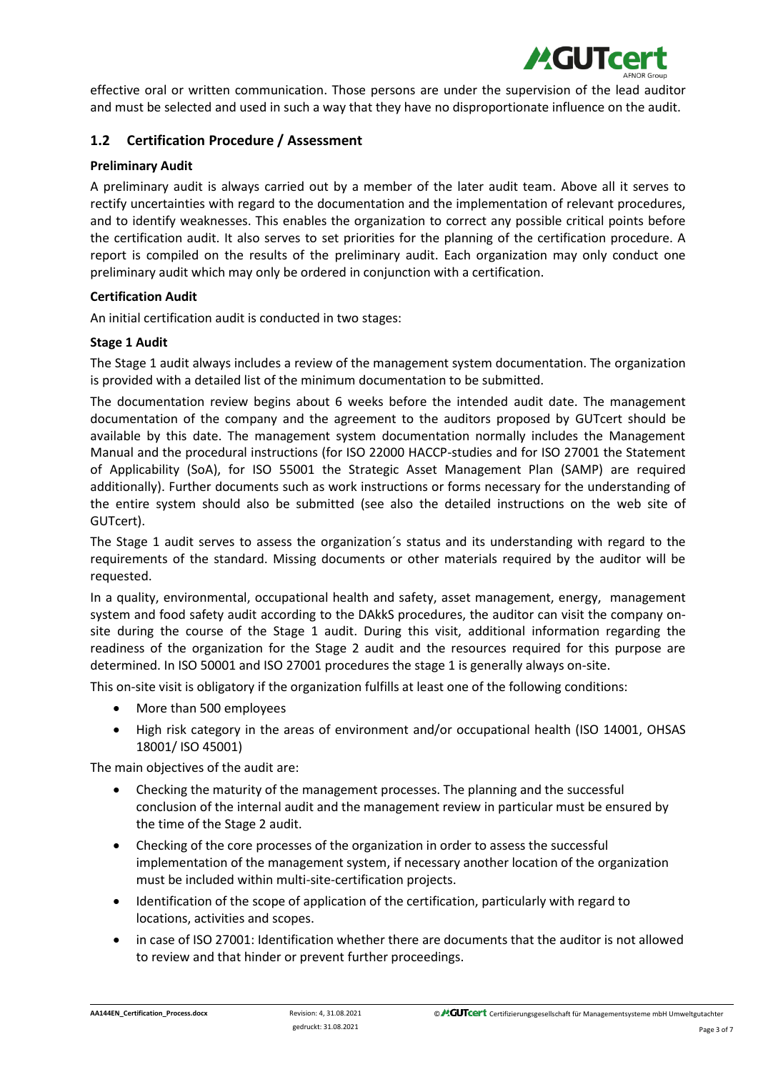

effective oral or written communication. Those persons are under the supervision of the lead auditor and must be selected and used in such a way that they have no disproportionate influence on the audit.

# **1.2 Certification Procedure / Assessment**

## **Preliminary Audit**

A preliminary audit is always carried out by a member of the later audit team. Above all it serves to rectify uncertainties with regard to the documentation and the implementation of relevant procedures, and to identify weaknesses. This enables the organization to correct any possible critical points before the certification audit. It also serves to set priorities for the planning of the certification procedure. A report is compiled on the results of the preliminary audit. Each organization may only conduct one preliminary audit which may only be ordered in conjunction with a certification.

## **Certification Audit**

An initial certification audit is conducted in two stages:

## **Stage 1 Audit**

The Stage 1 audit always includes a review of the management system documentation. The organization is provided with a detailed list of the minimum documentation to be submitted.

The documentation review begins about 6 weeks before the intended audit date. The management documentation of the company and the agreement to the auditors proposed by GUTcert should be available by this date. The management system documentation normally includes the Management Manual and the procedural instructions (for ISO 22000 HACCP-studies and for ISO 27001 the Statement of Applicability (SoA), for ISO 55001 the Strategic Asset Management Plan (SAMP) are required additionally). Further documents such as work instructions or forms necessary for the understanding of the entire system should also be submitted (see also the detailed instructions on the web site of GUTcert).

The Stage 1 audit serves to assess the organization´s status and its understanding with regard to the requirements of the standard. Missing documents or other materials required by the auditor will be requested.

In a quality, environmental, occupational health and safety, asset management, energy, management system and food safety audit according to the DAkkS procedures, the auditor can visit the company onsite during the course of the Stage 1 audit. During this visit, additional information regarding the readiness of the organization for the Stage 2 audit and the resources required for this purpose are determined. In ISO 50001 and ISO 27001 procedures the stage 1 is generally always on-site.

This on-site visit is obligatory if the organization fulfills at least one of the following conditions:

- More than 500 employees
- High risk category in the areas of environment and/or occupational health (ISO 14001, OHSAS 18001/ ISO 45001)

The main objectives of the audit are:

- Checking the maturity of the management processes. The planning and the successful conclusion of the internal audit and the management review in particular must be ensured by the time of the Stage 2 audit.
- Checking of the core processes of the organization in order to assess the successful implementation of the management system, if necessary another location of the organization must be included within multi-site-certification projects.
- Identification of the scope of application of the certification, particularly with regard to locations, activities and scopes.
- in case of ISO 27001: Identification whether there are documents that the auditor is not allowed to review and that hinder or prevent further proceedings.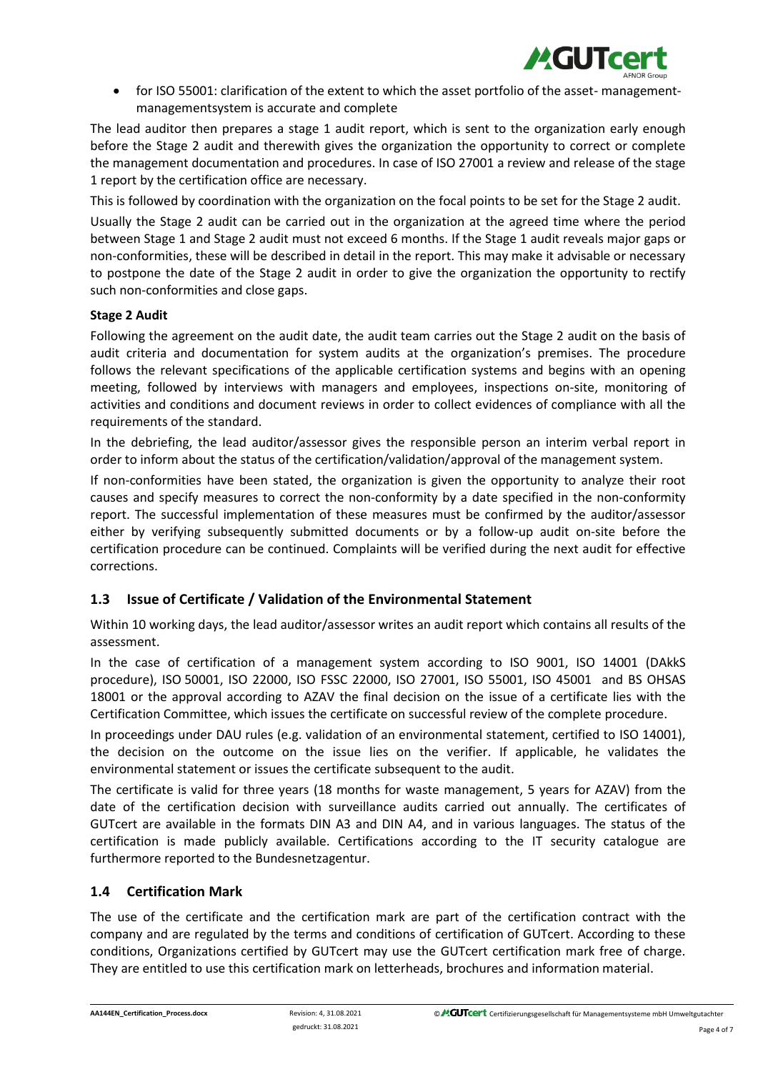

• for ISO 55001: clarification of the extent to which the asset portfolio of the asset- managementmanagementsystem is accurate and complete

The lead auditor then prepares a stage 1 audit report, which is sent to the organization early enough before the Stage 2 audit and therewith gives the organization the opportunity to correct or complete the management documentation and procedures. In case of ISO 27001 a review and release of the stage 1 report by the certification office are necessary.

This is followed by coordination with the organization on the focal points to be set for the Stage 2 audit.

Usually the Stage 2 audit can be carried out in the organization at the agreed time where the period between Stage 1 and Stage 2 audit must not exceed 6 months. If the Stage 1 audit reveals major gaps or non-conformities, these will be described in detail in the report. This may make it advisable or necessary to postpone the date of the Stage 2 audit in order to give the organization the opportunity to rectify such non-conformities and close gaps.

### **Stage 2 Audit**

Following the agreement on the audit date, the audit team carries out the Stage 2 audit on the basis of audit criteria and documentation for system audits at the organization's premises. The procedure follows the relevant specifications of the applicable certification systems and begins with an opening meeting, followed by interviews with managers and employees, inspections on-site, monitoring of activities and conditions and document reviews in order to collect evidences of compliance with all the requirements of the standard.

In the debriefing, the lead auditor/assessor gives the responsible person an interim verbal report in order to inform about the status of the certification/validation/approval of the management system.

If non-conformities have been stated, the organization is given the opportunity to analyze their root causes and specify measures to correct the non-conformity by a date specified in the non-conformity report. The successful implementation of these measures must be confirmed by the auditor/assessor either by verifying subsequently submitted documents or by a follow-up audit on-site before the certification procedure can be continued. Complaints will be verified during the next audit for effective corrections.

# **1.3 Issue of Certificate / Validation of the Environmental Statement**

Within 10 working days, the lead auditor/assessor writes an audit report which contains all results of the assessment.

In the case of certification of a management system according to ISO 9001, ISO 14001 (DAkkS procedure), ISO 50001, ISO 22000, ISO FSSC 22000, ISO 27001, ISO 55001, ISO 45001 and BS OHSAS 18001 or the approval according to AZAV the final decision on the issue of a certificate lies with the Certification Committee, which issues the certificate on successful review of the complete procedure.

In proceedings under DAU rules (e.g. validation of an environmental statement, certified to ISO 14001), the decision on the outcome on the issue lies on the verifier. If applicable, he validates the environmental statement or issues the certificate subsequent to the audit.

The certificate is valid for three years (18 months for waste management, 5 years for AZAV) from the date of the certification decision with surveillance audits carried out annually. The certificates of GUTcert are available in the formats DIN A3 and DIN A4, and in various languages. The status of the certification is made publicly available. Certifications according to the IT security catalogue are furthermore reported to the Bundesnetzagentur.

# **1.4 Certification Mark**

The use of the certificate and the certification mark are part of the certification contract with the company and are regulated by the terms and conditions of certification of GUTcert. According to these conditions, Organizations certified by GUTcert may use the GUTcert certification mark free of charge. They are entitled to use this certification mark on letterheads, brochures and information material.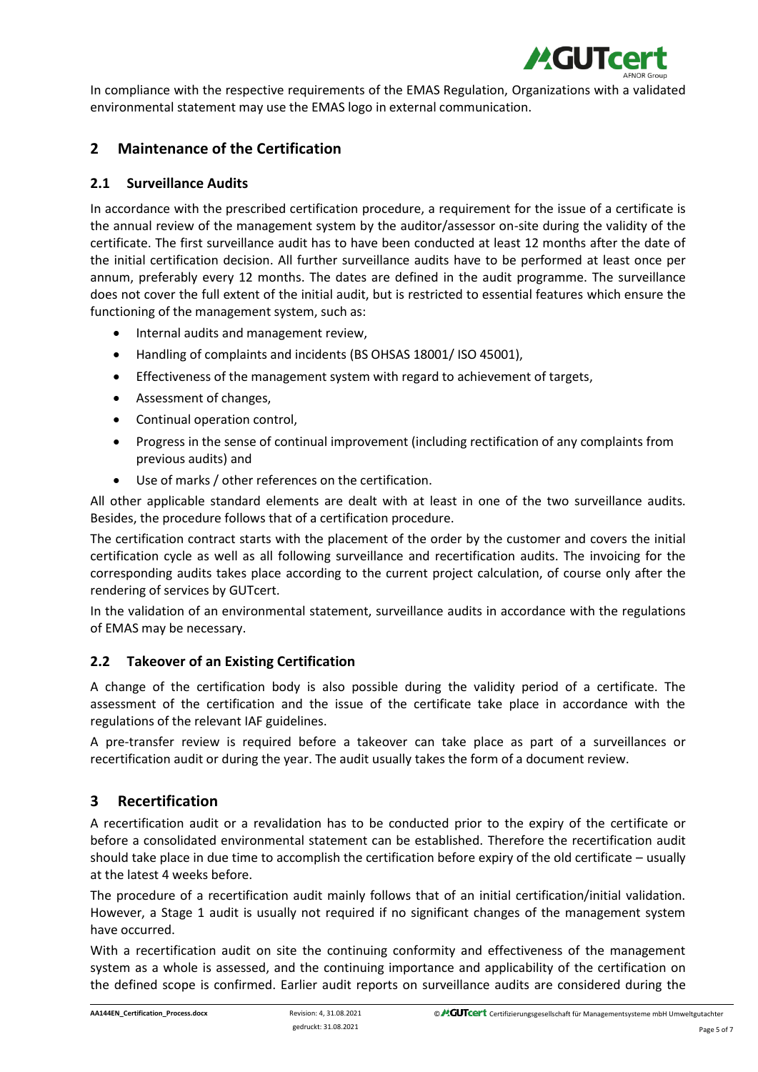

In compliance with the respective requirements of the EMAS Regulation, Organizations with a validated environmental statement may use the EMAS logo in external communication.

# **2 Maintenance of the Certification**

# **2.1 Surveillance Audits**

In accordance with the prescribed certification procedure, a requirement for the issue of a certificate is the annual review of the management system by the auditor/assessor on-site during the validity of the certificate. The first surveillance audit has to have been conducted at least 12 months after the date of the initial certification decision. All further surveillance audits have to be performed at least once per annum, preferably every 12 months. The dates are defined in the audit programme. The surveillance does not cover the full extent of the initial audit, but is restricted to essential features which ensure the functioning of the management system, such as:

- Internal audits and management review,
- Handling of complaints and incidents (BS OHSAS 18001/ ISO 45001),
- Effectiveness of the management system with regard to achievement of targets,
- Assessment of changes,
- Continual operation control,
- Progress in the sense of continual improvement (including rectification of any complaints from previous audits) and
- Use of marks / other references on the certification.

All other applicable standard elements are dealt with at least in one of the two surveillance audits. Besides, the procedure follows that of a certification procedure.

The certification contract starts with the placement of the order by the customer and covers the initial certification cycle as well as all following surveillance and recertification audits. The invoicing for the corresponding audits takes place according to the current project calculation, of course only after the rendering of services by GUTcert.

In the validation of an environmental statement, surveillance audits in accordance with the regulations of EMAS may be necessary.

# **2.2 Takeover of an Existing Certification**

A change of the certification body is also possible during the validity period of a certificate. The assessment of the certification and the issue of the certificate take place in accordance with the regulations of the relevant IAF guidelines.

A pre-transfer review is required before a takeover can take place as part of a surveillances or recertification audit or during the year. The audit usually takes the form of a document review.

# **3 Recertification**

A recertification audit or a revalidation has to be conducted prior to the expiry of the certificate or before a consolidated environmental statement can be established. Therefore the recertification audit should take place in due time to accomplish the certification before expiry of the old certificate – usually at the latest 4 weeks before.

The procedure of a recertification audit mainly follows that of an initial certification/initial validation. However, a Stage 1 audit is usually not required if no significant changes of the management system have occurred.

With a recertification audit on site the continuing conformity and effectiveness of the management system as a whole is assessed, and the continuing importance and applicability of the certification on the defined scope is confirmed. Earlier audit reports on surveillance audits are considered during the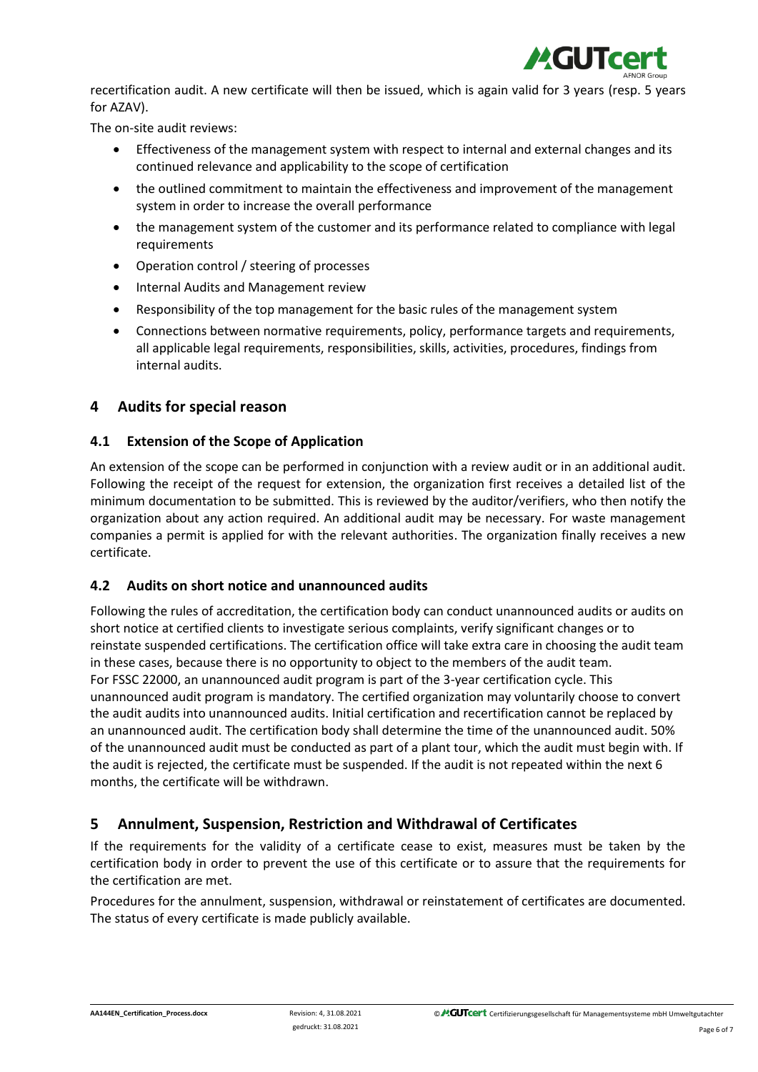

recertification audit. A new certificate will then be issued, which is again valid for 3 years (resp. 5 years for AZAV).

The on-site audit reviews:

- Effectiveness of the management system with respect to internal and external changes and its continued relevance and applicability to the scope of certification
- the outlined commitment to maintain the effectiveness and improvement of the management system in order to increase the overall performance
- the management system of the customer and its performance related to compliance with legal requirements
- Operation control / steering of processes
- Internal Audits and Management review
- Responsibility of the top management for the basic rules of the management system
- Connections between normative requirements, policy, performance targets and requirements, all applicable legal requirements, responsibilities, skills, activities, procedures, findings from internal audits.

# **4 Audits for special reason**

## **4.1 Extension of the Scope of Application**

An extension of the scope can be performed in conjunction with a review audit or in an additional audit. Following the receipt of the request for extension, the organization first receives a detailed list of the minimum documentation to be submitted. This is reviewed by the auditor/verifiers, who then notify the organization about any action required. An additional audit may be necessary. For waste management companies a permit is applied for with the relevant authorities. The organization finally receives a new certificate.

# **4.2 Audits on short notice and unannounced audits**

Following the rules of accreditation, the certification body can conduct unannounced audits or audits on short notice at certified clients to investigate serious complaints, verify significant changes or to reinstate suspended certifications. The certification office will take extra care in choosing the audit team in these cases, because there is no opportunity to object to the members of the audit team. For FSSC 22000, an unannounced audit program is part of the 3-year certification cycle. This unannounced audit program is mandatory. The certified organization may voluntarily choose to convert the audit audits into unannounced audits. Initial certification and recertification cannot be replaced by an unannounced audit. The certification body shall determine the time of the unannounced audit. 50% of the unannounced audit must be conducted as part of a plant tour, which the audit must begin with. If the audit is rejected, the certificate must be suspended. If the audit is not repeated within the next 6 months, the certificate will be withdrawn.

# **5 Annulment, Suspension, Restriction and Withdrawal of Certificates**

If the requirements for the validity of a certificate cease to exist, measures must be taken by the certification body in order to prevent the use of this certificate or to assure that the requirements for the certification are met.

Procedures for the annulment, suspension, withdrawal or reinstatement of certificates are documented. The status of every certificate is made publicly available.